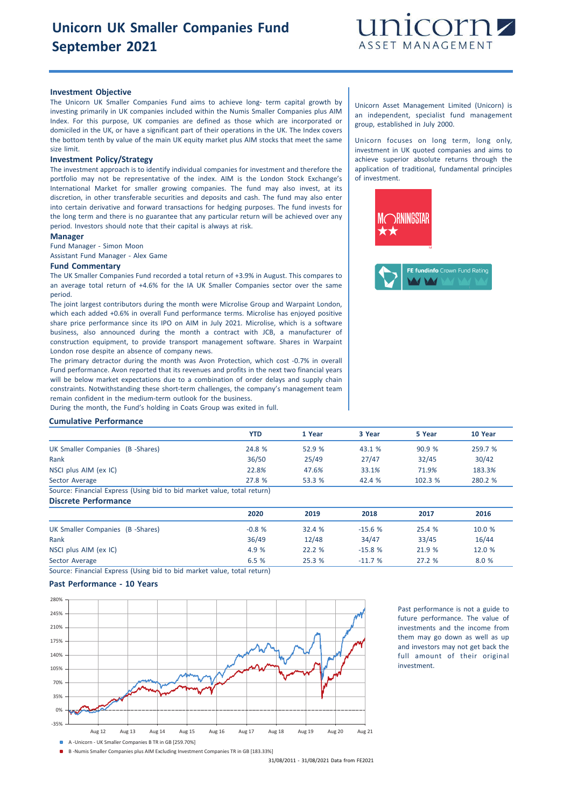

## **Investment Objective**

The Unicorn UK Smaller Companies Fund aims to achieve long- term capital growth by investing primarily in UK companies included within the Numis Smaller Companies plus AIM Index. For this purpose, UK companies are defined as those which are incorporated or domiciled in the UK, or have a significant part of their operations in the UK. The Index covers the bottom tenth by value of the main UK equity market plus AIM stocks that meet the same size limit.

#### **Investment Policy/Strategy**

The investment approach is to identify individual companies for investment and therefore the portfolio may not be representative of the index. AIM is the London Stock Exchange's International Market for smaller growing companies. The fund may also invest, at its discretion, in other transferable securities and deposits and cash. The fund may also enter into certain derivative and forward transactions for hedging purposes. The fund invests for the long term and there is no guarantee that any particular return will be achieved over any period. Investors should note that their capital is always at risk.

#### **Manager**

Fund Manager - Simon Moon

Assistant Fund Manager - Alex Game

#### **Fund Commentary**

The UK Smaller Companies Fund recorded a total return of +3.9% in August. This compares to an average total return of +4.6% for the IA UK Smaller Companies sector over the same period.

The joint largest contributors during the month were Microlise Group and Warpaint London, which each added +0.6% in overall Fund performance terms. Microlise has enjoyed positive share price performance since its IPO on AIM in July 2021. Microlise, which is a software business, also announced during the month a contract with JCB, a manufacturer of construction equipment, to provide transport management software. Shares in Warpaint London rose despite an absence of company news.

The primary detractor during the month was Avon Protection, which cost -0.7% in overall Fund performance. Avon reported that its revenues and profits in the next two financial years will be below market expectations due to a combination of order delays and supply chain constraints. Notwithstanding these short-term challenges, the company's management team remain confident in the medium-term outlook for the business.

During the month, the Fund's holding in Coats Group was exited in full.

### **Cumulative Performance**

|                                                                                           | YTD    | 1 Year | 3 Year | 5 Year | 10 Year |
|-------------------------------------------------------------------------------------------|--------|--------|--------|--------|---------|
| UK Smaller Companies (B -Shares)                                                          | 24.8 % | 52.9%  | 43.1 % | 90.9%  | 259.7 % |
| Rank                                                                                      | 36/50  | 25/49  | 27/47  | 32/45  | 30/42   |
| NSCI plus AIM (ex IC)                                                                     | 22.8%  | 47.6%  | 33.1%  | 71.9%  | 183.3%  |
| Sector Average                                                                            | 27.8 % | 53.3 % | 42.4%  | 102.3% | 280.2 % |
| (Carrolas) Missourial Missouris (Flateau bital as bital seguidae) include again seguidae) |        |        |        |        |         |

Source: Financial Express (Using bid to bid market value, total return) **Discrete Performance**

|                                  | 2020    | 2019   | 2018     | 2017   | 2016   |
|----------------------------------|---------|--------|----------|--------|--------|
| UK Smaller Companies (B -Shares) | $-0.8%$ | 32.4%  | $-15.6%$ | 25.4 % | 10.0 % |
| Rank                             | 36/49   | 12/48  | 34/47    | 33/45  | 16/44  |
| NSCI plus AIM (ex IC)            | 4.9 %   | 22.2 % | $-15.8%$ | 21.9 % | 12.0 % |
| Sector Average                   | 6.5%    | 25.3 % | $-11.7%$ | 27.2%  | 8.0 %  |

Source: Financial Express (Using bid to bid market value, total return)

## **Past Performance - 10 Years**



Past performance is not a guide to future performance. The value of investments and the income from them may go down as well as up and investors may not get back the full amount of their original investment.

B -Numis Smaller Companies plus AIM Excluding Investment Companies TR in GB [183.33%]

31/08/2011 - 31/08/2021 Data from FE2021

Unicorn Asset Management Limited (Unicorn) is an independent, specialist fund management group, established in July 2000.

Unicorn focuses on long term, long only, investment in UK quoted companies and aims to achieve superior absolute returns through the application of traditional, fundamental principles of investment.